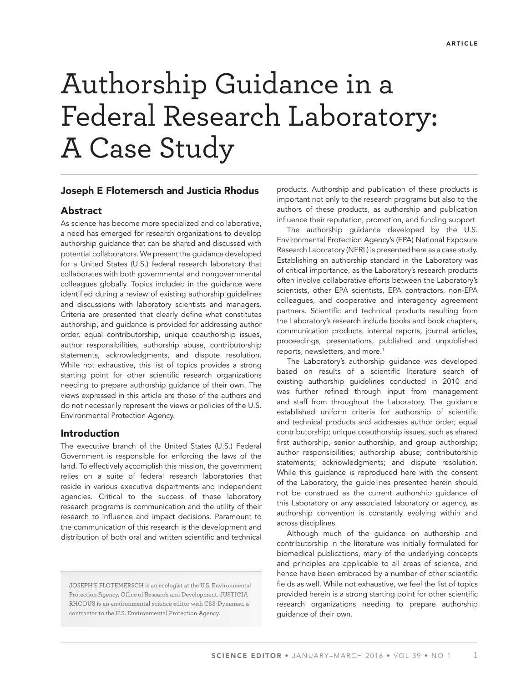# Authorship Guidance in a Federal Research Laboratory: A Case Study

## Joseph E Flotemersch and Justicia Rhodus

# Abstract

As science has become more specialized and collaborative, a need has emerged for research organizations to develop authorship guidance that can be shared and discussed with potential collaborators. We present the guidance developed for a United States (U.S.) federal research laboratory that collaborates with both governmental and nongovernmental colleagues globally. Topics included in the guidance were identified during a review of existing authorship guidelines and discussions with laboratory scientists and managers. Criteria are presented that clearly define what constitutes authorship, and guidance is provided for addressing author order, equal contributorship, unique coauthorship issues, author responsibilities, authorship abuse, contributorship statements, acknowledgments, and dispute resolution. While not exhaustive, this list of topics provides a strong starting point for other scientific research organizations needing to prepare authorship guidance of their own. The views expressed in this article are those of the authors and do not necessarily represent the views or policies of the U.S. Environmental Protection Agency.

## Introduction

The executive branch of the United States (U.S.) Federal Government is responsible for enforcing the laws of the land. To effectively accomplish this mission, the government relies on a suite of federal research laboratories that reside in various executive departments and independent agencies. Critical to the success of these laboratory research programs is communication and the utility of their research to influence and impact decisions. Paramount to the communication of this research is the development and distribution of both oral and written scientific and technical

JOSEPH E FLOTEMERSCH is an ecologist at the U.S. Environmental Protection Agency, Office of Research and Development. JUSTICIA RHODUS is an environmental science editor with CSS-Dynamac, a contractor to the U.S. Environmental Protection Agency.

products. Authorship and publication of these products is important not only to the research programs but also to the authors of these products, as authorship and publication influence their reputation, promotion, and funding support.

The authorship guidance developed by the U.S. Environmental Protection Agency's (EPA) National Exposure Research Laboratory (NERL) is presented here as a case study. Establishing an authorship standard in the Laboratory was of critical importance, as the Laboratory's research products often involve collaborative efforts between the Laboratory's scientists, other EPA scientists, EPA contractors, non-EPA colleagues, and cooperative and interagency agreement partners. Scientific and technical products resulting from the Laboratory's research include books and book chapters, communication products, internal reports, journal articles, proceedings, presentations, published and unpublished reports, newsletters, and more.<sup>1</sup>

The Laboratory's authorship guidance was developed based on results of a scientific literature search of existing authorship guidelines conducted in 2010 and was further refined through input from management and staff from throughout the Laboratory. The guidance established uniform criteria for authorship of scientific and technical products and addresses author order; equal contributorship; unique coauthorship issues, such as shared first authorship, senior authorship, and group authorship; author responsibilities; authorship abuse; contributorship statements; acknowledgments; and dispute resolution. While this guidance is reproduced here with the consent of the Laboratory, the guidelines presented herein should not be construed as the current authorship guidance of this Laboratory or any associated laboratory or agency, as authorship convention is constantly evolving within and across disciplines.

Although much of the guidance on authorship and contributorship in the literature was initially formulated for biomedical publications, many of the underlying concepts and principles are applicable to all areas of science, and hence have been embraced by a number of other scientific fields as well. While not exhaustive, we feel the list of topics provided herein is a strong starting point for other scientific research organizations needing to prepare authorship guidance of their own.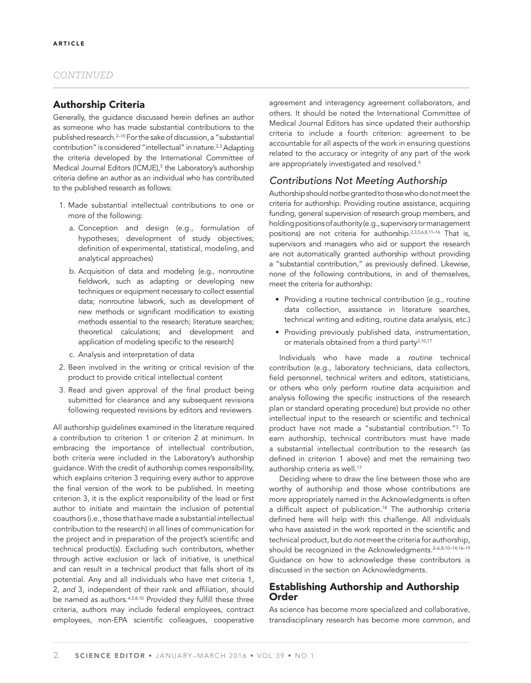## Authorship Criteria

Generally, the guidance discussed herein defines an author as someone who has made substantial contributions to the published research.<sup>2-10</sup> For the sake of discussion, a "substantial contribution" is considered "intellectual" in nature.<sup>2,3</sup> Adapting the criteria developed by the International Committee of Medical Journal Editors (ICMJE),<sup>5</sup> the Laboratory's authorship criteria define an author as an individual who has contributed to the published research as follows:

- 1. Made substantial intellectual contributions to one or more of the following:
	- a. Conception and design (e.g., formulation of hypotheses; development of study objectives; definition of experimental, statistical, modeling, and analytical approaches)
	- b. Acquisition of data and modeling (e.g., nonroutine fieldwork, such as adapting or developing new techniques or equipment necessary to collect essential data; nonroutine labwork, such as development of new methods or significant modification to existing methods essential to the research; literature searches; theoretical calculations; and development and application of modeling specific to the research)
	- c. Analysis and interpretation of data
- 2. Been involved in the writing or critical revision of the product to provide critical intellectual content
- 3. Read and given approval of the final product being submitted for clearance and any subsequent revisions following requested revisions by editors and reviewers

All authorship guidelines examined in the literature required a contribution to criterion 1 *or* criterion 2 at minimum. In embracing the importance of intellectual contribution, both criteria were included in the Laboratory's authorship guidance. With the credit of authorship comes responsibility, which explains criterion 3 requiring every author to approve the final version of the work to be published. In meeting criterion 3, it is the explicit responsibility of the lead or first author to initiate and maintain the inclusion of potential coauthors (i.e., those that have made a substantial intellectual contribution to the research) in all lines of communication for the project and in preparation of the project's scientific and technical product(s). Excluding such contributors, whether through active exclusion or lack of initiative, is unethical and can result in a technical product that falls short of its potential. Any and all individuals who have met criteria 1, 2, and 3, independent of their rank and affiliation, should be named as authors.<sup>4,5,8,10</sup> Provided they fulfill these three criteria, authors may include federal employees, contract employees, non-EPA scientific colleagues, cooperative

agreement and interagency agreement collaborators, and others. It should be noted the International Committee of Medical Journal Editors has since updated their authorship criteria to include a fourth criterion: agreement to be accountable for all aspects of the work in ensuring questions related to the accuracy or integrity of any part of the work are appropriately investigated and resolved.<sup>6</sup>

# *Contributions Not Meeting Authorship*

Authorship should *not* be granted to those who do not meet the criteria for authorship. Providing routine assistance, acquiring funding, general supervision of research group members, and holding positions of authority (e.g., supervisory or management positions) are not criteria for authorship.2,3,5,6,8,11–16 That is, supervisors and managers who aid or support the research are not automatically granted authorship without providing a "substantial contribution," as previously defined. Likewise, none of the following contributions, in and of themselves, meet the criteria for authorship:

- Providing a routine technical contribution (e.g., routine data collection, assistance in literature searches, technical writing and editing, routine data analysis, etc.)
- Providing previously published data, instrumentation, or materials obtained from a third party<sup>3,10,17</sup>

Individuals who have made a *routine* technical contribution (e.g., laboratory technicians, data collectors, field personnel, technical writers and editors, statisticians, or others who only perform routine data acquisition and analysis following the specific instructions of the research plan or standard operating procedure) but provide no other intellectual input to the research or scientific and technical product have not made a "substantial contribution."3 To earn authorship, technical contributors must have made a substantial intellectual contribution to the research (as defined in criterion 1 above) and met the remaining two authorship criteria as well.<sup>17</sup>

Deciding where to draw the line between those who are worthy of authorship and those whose contributions are more appropriately named in the Acknowledgments is often a difficult aspect of publication.<sup>18</sup> The authorship criteria defined here will help with this challenge. All individuals who have assisted in the work reported in the scientific and technical product, but do *not* meet the criteria for authorship, should be recognized in the Acknowledgments.<sup>2-6,8,10-14,16-19</sup> Guidance on how to acknowledge these contributors is discussed in the section on Acknowledgments.

# Establishing Authorship and Authorship Order

As science has become more specialized and collaborative, transdisciplinary research has become more common, and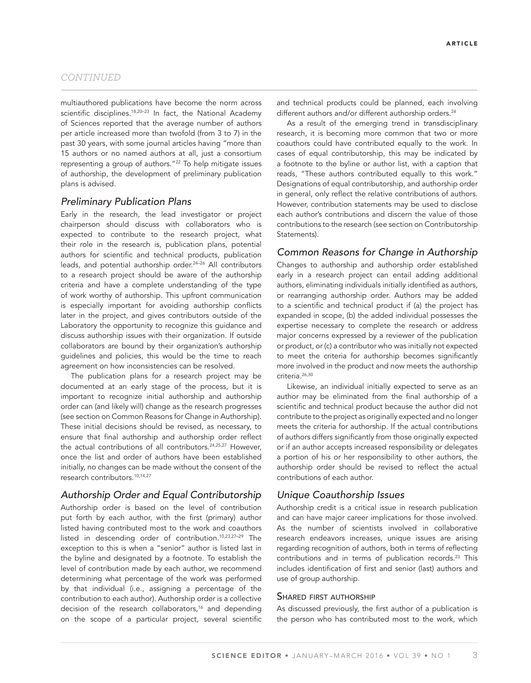multiauthored publications have become the norm across scientific disciplines.<sup>18,20-23</sup> In fact, the National Academy of Sciences reported that the average number of authors per article increased more than twofold (from 3 to 7) in the past 30 years, with some journal articles having "more than 15 authors or no named authors at all, just a consortium representing a group of authors."22 To help mitigate issues of authorship, the development of preliminary publication plans is advised.

#### *Preliminary Publication Plans*

Early in the research, the lead investigator or project chairperson should discuss with collaborators who is expected to contribute to the research project, what their role in the research is, publication plans, potential authors for scientific and technical products, publication leads, and potential authorship order.<sup>24-26</sup> All contributors to a research project should be aware of the authorship criteria and have a complete understanding of the type of work worthy of authorship. This upfront communication is especially important for avoiding authorship conflicts later in the project, and gives contributors outside of the Laboratory the opportunity to recognize this guidance and discuss authorship issues with their organization. If outside collaborators are bound by their organization's authorship guidelines and policies, this would be the time to reach agreement on how inconsistencies can be resolved.

The publication plans for a research project may be documented at an early stage of the process, but it is important to recognize initial authorship and authorship order can (and likely will) change as the research progresses (see section on Common Reasons for Change in Authorship). These initial decisions should be revised, as necessary, to ensure that final authorship and authorship order reflect the actual contributions of all contributors.<sup>24,25,27</sup> However, once the list and order of authors have been established initially, no changes can be made without the consent of the research contributors.10,14,27

# *Authorship Order and Equal Contributorship*

Authorship order is based on the level of contribution put forth by each author, with the first (primary) author listed having contributed most to the work and coauthors listed in descending order of contribution.10,23,27–29 The exception to this is when a "senior" author is listed last in the byline and designated by a footnote. To establish the level of contribution made by each author, we recommend determining what percentage of the work was performed by that individual (i.e., assigning a percentage of the contribution to each author). Authorship order is a collective decision of the research collaborators,<sup>16</sup> and depending on the scope of a particular project, several scientific and technical products could be planned, each involving different authors and/or different authorship orders.<sup>24</sup>

As a result of the emerging trend in transdisciplinary research, it is becoming more common that two or more coauthors could have contributed equally to the work. In cases of equal contributorship, this may be indicated by a footnote to the byline or author list, with a caption that reads, "These authors contributed equally to this work." Designations of equal contributorship, and authorship order in general, only reflect the relative contributions of authors. However, contribution statements may be used to disclose each author's contributions and discern the value of those contributions to the research (see section on Contributorship Statements).

## *Common Reasons for Change in Authorship*

Changes to authorship and authorship order established early in a research project can entail adding additional authors, eliminating individuals initially identified as authors, or rearranging authorship order. Authors may be added to a scientific and technical product if (a) the project has expanded in scope, (b) the added individual possesses the expertise necessary to complete the research or address major concerns expressed by a reviewer of the publication or product, or (c) a contributor who was initially not expected to meet the criteria for authorship becomes significantly more involved in the product and now meets the authorship criteria.26,30

Likewise, an individual initially expected to serve as an author may be eliminated from the final authorship of a scientific and technical product because the author did not contribute to the project as originally expected and no longer meets the criteria for authorship. If the actual contributions of authors differs significantly from those originally expected or if an author accepts increased responsibility or delegates a portion of his or her responsibility to other authors, the authorship order should be revised to reflect the actual contributions of each author.

## *Unique Coauthorship Issues*

Authorship credit is a critical issue in research publication and can have major career implications for those involved. As the number of scientists involved in collaborative research endeavors increases, unique issues are arising regarding recognition of authors, both in terms of reflecting contributions and in terms of publication records.<sup>23</sup> This includes identification of first and senior (last) authors and use of group authorship.

#### SHARED FIRST AUTHORSHIP

As discussed previously, the first author of a publication is the person who has contributed most to the work, which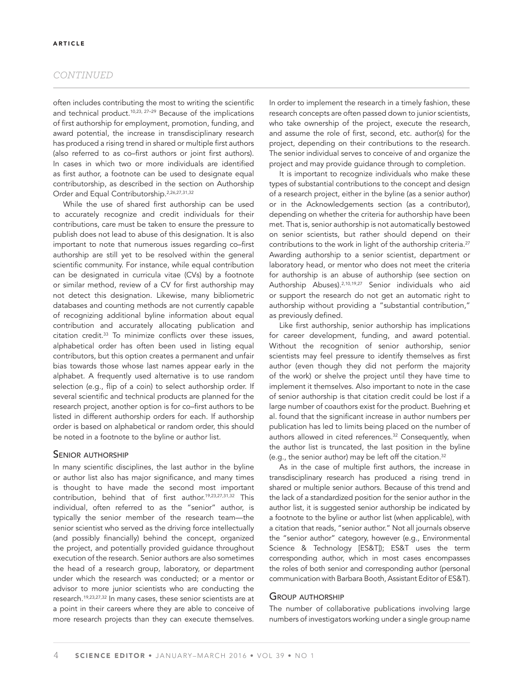often includes contributing the most to writing the scientific and technical product.<sup>10,23, 27-29</sup> Because of the implications of first authorship for employment, promotion, funding, and award potential, the increase in transdisciplinary research has produced a rising trend in shared or multiple first authors (also referred to as co-first authors or joint first authors). In cases in which two or more individuals are identified as first author, a footnote can be used to designate equal contributorship, as described in the section on Authorship Order and Equal Contributorship.2,26,27,31,32

While the use of shared first authorship can be used to accurately recognize and credit individuals for their contributions, care must be taken to ensure the pressure to publish does not lead to abuse of this designation. It is also important to note that numerous issues regarding co-first authorship are still yet to be resolved within the general scientific community. For instance, while equal contribution can be designated in curricula vitae (CVs) by a footnote or similar method, review of a CV for first authorship may not detect this designation. Likewise, many bibliometric databases and counting methods are not currently capable of recognizing additional byline information about equal contribution and accurately allocating publication and  $citation\ credit.<sup>33</sup>$  To minimize conflicts over these issues, alphabetical order has often been used in listing equal contributors, but this option creates a permanent and unfair bias towards those whose last names appear early in the alphabet. A frequently used alternative is to use random selection (e.g., flip of a coin) to select authorship order. If several scientific and technical products are planned for the research project, another option is for co-first authors to be listed in different authorship orders for each. If authorship order is based on alphabetical or random order, this should be noted in a footnote to the byline or author list.

#### SENIOR AUTHORSHIP

In many scientific disciplines, the last author in the byline or author list also has major significance, and many times is thought to have made the second most important contribution, behind that of first author.<sup>19,23,27,31,32</sup> This individual, often referred to as the "senior" author, is typically the senior member of the research team—the senior scientist who served as the driving force intellectually (and possibly financially) behind the concept, organized the project, and potentially provided guidance throughout execution of the research. Senior authors are also sometimes the head of a research group, laboratory, or department under which the research was conducted; or a mentor or advisor to more junior scientists who are conducting the research.19,23,27,32 In many cases, these senior scientists are at a point in their careers where they are able to conceive of more research projects than they can execute themselves.

In order to implement the research in a timely fashion, these research concepts are often passed down to junior scientists, who take ownership of the project, execute the research, and assume the role of first, second, etc. author(s) for the project, depending on their contributions to the research. The senior individual serves to conceive of and organize the project and may provide guidance through to completion.

It is important to recognize individuals who make these types of substantial contributions to the concept and design of a research project, either in the byline (as a senior author) or in the Acknowledgements section (as a contributor), depending on whether the criteria for authorship have been met. That is, senior authorship is not automatically bestowed on senior scientists, but rather should depend on their contributions to the work in light of the authorship criteria.<sup>27</sup> Awarding authorship to a senior scientist, department or laboratory head, or mentor who does not meet the criteria for authorship is an abuse of authorship (see section on Authorship Abuses).2,10,19,27 Senior individuals who aid or support the research do not get an automatic right to authorship without providing a "substantial contribution," as previously defined.

Like first authorship, senior authorship has implications for career development, funding, and award potential. Without the recognition of senior authorship, senior scientists may feel pressure to identify themselves as first author (even though they did not perform the majority of the work) or shelve the project until they have time to implement it themselves. Also important to note in the case of senior authorship is that citation credit could be lost if a large number of coauthors exist for the product. Buehring et al. found that the significant increase in author numbers per publication has led to limits being placed on the number of authors allowed in cited references.<sup>32</sup> Consequently, when the author list is truncated, the last position in the byline (e.g., the senior author) may be left off the citation.32

As in the case of multiple first authors, the increase in transdisciplinary research has produced a rising trend in shared or multiple senior authors. Because of this trend and the lack of a standardized position for the senior author in the author list, it is suggested senior authorship be indicated by a footnote to the byline or author list (when applicable), with a citation that reads, "senior author." Not all journals observe the "senior author" category, however (e.g., Environmental Science & Technology [ES&T]); ES&T uses the term corresponding author, which in most cases encompasses the roles of both senior and corresponding author (personal communication with Barbara Booth, Assistant Editor of ES&T).

#### GROUP AUTHORSHIP

The number of collaborative publications involving large numbers of investigators working under a single group name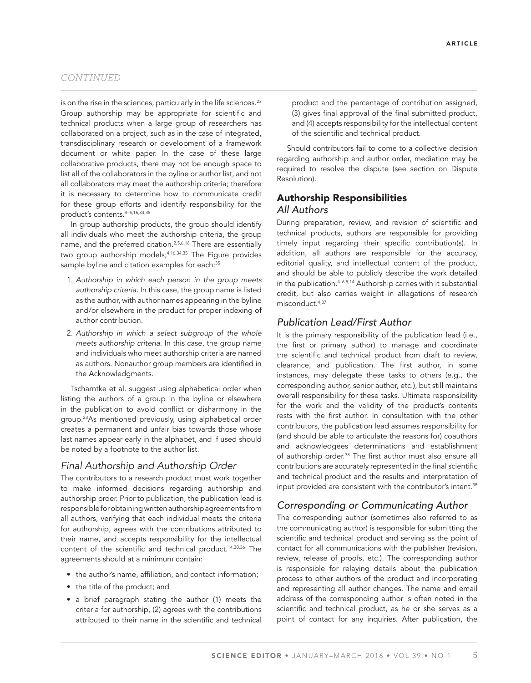is on the rise in the sciences, particularly in the life sciences.<sup>23</sup> Group authorship may be appropriate for scientific and technical products when a large group of researchers has collaborated on a project, such as in the case of integrated, transdisciplinary research or development of a framework document or white paper. In the case of these large collaborative products, there may not be enough space to list all of the collaborators in the byline or author list, and not all collaborators may meet the authorship criteria; therefore it is necessary to determine how to communicate credit for these group efforts and identify responsibility for the product's contents.4–6,16,34,35

In group authorship products, the group should identify all individuals who meet the authorship criteria, the group name, and the preferred citation.2,5,6,16 There are essentially two group authorship models;4,16,34,35 The Figure provides sample byline and citation examples for each:<sup>35</sup>

- 1. *Authorship in which each person in the group meets authorship criteria.* In this case, the group name is listed as the author, with author names appearing in the byline and/or elsewhere in the product for proper indexing of author contribution.
- 2. *Authorship in which a select subgroup of the whole meets authorship criteria.* In this case, the group name and individuals who meet authorship criteria are named as authors. Nonauthor group members are identified in the Acknowledgments.

Tscharntke et al. suggest using alphabetical order when listing the authors of a group in the byline or elsewhere in the publication to avoid conflict or disharmony in the group.23As mentioned previously, using alphabetical order creates a permanent and unfair bias towards those whose last names appear early in the alphabet, and if used should be noted by a footnote to the author list.

# *Final Authorship and Authorship Order*

The contributors to a research product must work together to make informed decisions regarding authorship and authorship order. Prior to publication, the publication lead is responsible for obtaining written authorship agreements from all authors, verifying that each individual meets the criteria for authorship, agrees with the contributions attributed to their name, and accepts responsibility for the intellectual content of the scientific and technical product.<sup>14,30,36</sup> The agreements should at a minimum contain:

- the author's name, affiliation, and contact information;
- the title of the product; and
- a brief paragraph stating the author (1) meets the criteria for authorship, (2) agrees with the contributions attributed to their name in the scientific and technical

product and the percentage of contribution assigned, (3) gives final approval of the final submitted product, and (4) accepts responsibility for the intellectual content of the scientific and technical product.

Should contributors fail to come to a collective decision regarding authorship and author order, mediation may be required to resolve the dispute (see section on Dispute Resolution).

# Authorship Responsibilities *All Authors*

During preparation, review, and revision of scientific and technical products, authors are responsible for providing timely input regarding their specific contribution(s). In addition, all authors are responsible for the accuracy, editorial quality, and intellectual content of the product, and should be able to publicly describe the work detailed in the publication.4–6,9,14 Authorship carries with it substantial credit, but also carries weight in allegations of research misconduct.4,37

## *Publication Lead/First Author*

It is the primary responsibility of the publication lead (i.e., the first or primary author) to manage and coordinate the scientific and technical product from draft to review, clearance, and publication. The first author, in some instances, may delegate these tasks to others (e.g., the corresponding author, senior author, etc.), but still maintains overall responsibility for these tasks. Ultimate responsibility for the work and the validity of the product's contents rests with the first author. In consultation with the other contributors, the publication lead assumes responsibility for (and should be able to articulate the reasons for) coauthors and acknowledgees determinations and establishment of authorship order.<sup>38</sup> The first author must also ensure all contributions are accurately represented in the final scientific and technical product and the results and interpretation of input provided are consistent with the contributor's intent.<sup>38</sup>

# *Corresponding or Communicating Author*

The corresponding author (sometimes also referred to as the communicating author) is responsible for submitting the scientific and technical product and serving as the point of contact for all communications with the publisher (revision, review, release of proofs, etc.). The corresponding author is responsible for relaying details about the publication process to other authors of the product and incorporating and representing all author changes. The name and email address of the corresponding author is often noted in the scientific and technical product, as he or she serves as a point of contact for any inquiries. After publication, the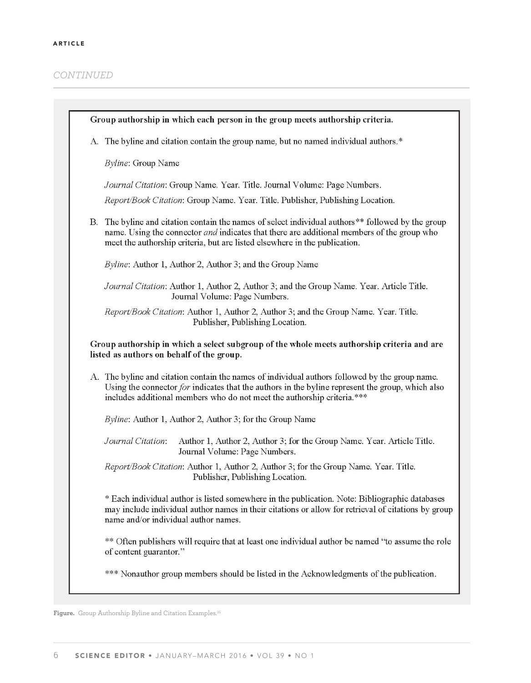| Group authorship in which each person in the group meets authorship criteria.                                                           |                                                                                                                                                                                                                                                                                        |  |
|-----------------------------------------------------------------------------------------------------------------------------------------|----------------------------------------------------------------------------------------------------------------------------------------------------------------------------------------------------------------------------------------------------------------------------------------|--|
| A.                                                                                                                                      | The byline and citation contain the group name, but no named individual authors.*                                                                                                                                                                                                      |  |
|                                                                                                                                         | Byline: Group Name                                                                                                                                                                                                                                                                     |  |
|                                                                                                                                         | Journal Citation: Group Name. Year. Title. Journal Volume: Page Numbers.                                                                                                                                                                                                               |  |
|                                                                                                                                         | Report/Book Citation: Group Name. Year. Title. Publisher, Publishing Location.                                                                                                                                                                                                         |  |
| В.                                                                                                                                      | The byline and citation contain the names of select individual authors <sup>**</sup> followed by the group<br>name. Using the connector and indicates that there are additional members of the group who<br>meet the authorship criteria, but are listed elsewhere in the publication. |  |
|                                                                                                                                         | Byline: Author 1, Author 2, Author 3; and the Group Name                                                                                                                                                                                                                               |  |
|                                                                                                                                         | Journal Citation: Author 1, Author 2, Author 3; and the Group Name. Year. Article Title.<br>Journal Volume: Page Numbers.                                                                                                                                                              |  |
|                                                                                                                                         | Report/Book Citation: Author 1, Author 2, Author 3; and the Group Name. Year. Title.<br>Publisher, Publishing Location.                                                                                                                                                                |  |
| Group authorship in which a select subgroup of the whole meets authorship criteria and are<br>listed as authors on behalf of the group. |                                                                                                                                                                                                                                                                                        |  |
|                                                                                                                                         | A. The byline and citation contain the names of individual authors followed by the group name.<br>Using the connector for indicates that the authors in the byline represent the group, which also<br>includes additional members who do not meet the authorship criteria.***          |  |
|                                                                                                                                         | Byline: Author 1, Author 2, Author 3; for the Group Name                                                                                                                                                                                                                               |  |
|                                                                                                                                         | Author 1, Author 2, Author 3; for the Group Name. Year. Article Title.<br>Journal Citation:<br>Journal Volume: Page Numbers.                                                                                                                                                           |  |
|                                                                                                                                         | Report/Book Citation: Author 1, Author 2, Author 3; for the Group Name. Year. Title.<br>Publisher, Publishing Location.                                                                                                                                                                |  |
|                                                                                                                                         | * Each individual author is listed somewhere in the publication. Note: Bibliographic databases<br>may include individual author names in their citations or allow for retrieval of citations by group<br>name and/or individual author names.                                          |  |
|                                                                                                                                         | ** Often publishers will require that at least one individual author be named "to assume the role"<br>of content guarantor."                                                                                                                                                           |  |
|                                                                                                                                         | *** Nonauthor group members should be listed in the Acknowledgments of the publication.                                                                                                                                                                                                |  |

**Figure.** Group Authorship Byline and Citation Examples. 35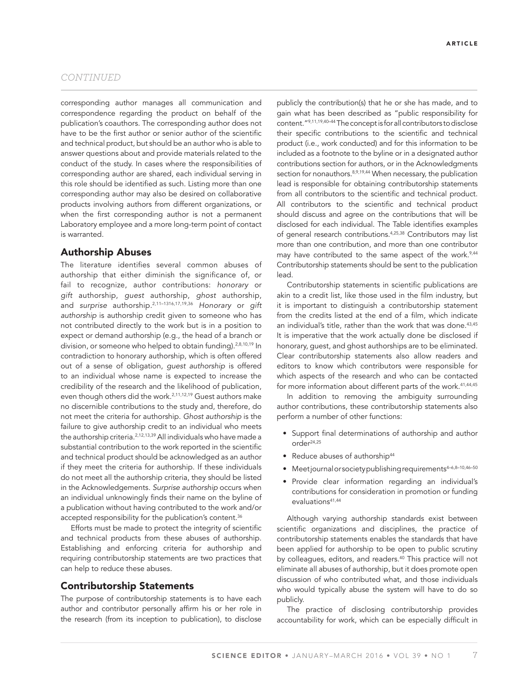corresponding author manages all communication and correspondence regarding the product on behalf of the publication's coauthors. The corresponding author does not have to be the first author or senior author of the scientific and technical product, but should be an author who is able to answer questions about and provide materials related to the conduct of the study. In cases where the responsibilities of corresponding author are shared, each individual serving in this role should be identified as such. Listing more than one corresponding author may also be desired on collaborative products involving authors from different organizations, or when the first corresponding author is not a permanent Laboratory employee and a more long-term point of contact is warranted.

## Authorship Abuses

The literature identifies several common abuses of authorship that either diminish the significance of, or fail to recognize, author contributions: *honorary* or *gift* authorship, *guest* authorship, *ghost* authorship, and *surprise* authorship.2,11–1316,17,19,36 *Honorary* or *gift authorship* is authorship credit given to someone who has not contributed directly to the work but is in a position to expect or demand authorship (e.g., the head of a branch or division, or someone who helped to obtain funding).<sup>2,8,10,19</sup> In contradiction to honorary authorship, which is often offered out of a sense of obligation, *guest authorship* is offered to an individual whose name is expected to increase the credibility of the research and the likelihood of publication, even though others did the work.<sup>2,11,12,19</sup> Guest authors make no discernible contributions to the study and, therefore, do not meet the criteria for authorship. *Ghost authorship* is the failure to give authorship credit to an individual who meets the authorship criteria.<sup>2,12,13,39</sup> All individuals who have made a substantial contribution to the work reported in the scientific and technical product should be acknowledged as an author if they meet the criteria for authorship. If these individuals do not meet all the authorship criteria, they should be listed in the Acknowledgements. *Surprise authorship* occurs when an individual unknowingly finds their name on the byline of a publication without having contributed to the work and/or accepted responsibility for the publication's content.<sup>36</sup>

Efforts must be made to protect the integrity of scientific and technical products from these abuses of authorship. Establishing and enforcing criteria for authorship and requiring contributorship statements are two practices that can help to reduce these abuses.

## Contributorship Statements

The purpose of contributorship statements is to have each author and contributor personally affirm his or her role in the research (from its inception to publication), to disclose publicly the contribution(s) that he or she has made, and to gain what has been described as "public responsibility for content."9,11,19,40–44 The concept is for all contributors to disclose their specific contributions to the scientific and technical product (i.e., work conducted) and for this information to be included as a footnote to the byline or in a designated author contributions section for authors, or in the Acknowledgments section for nonauthors.<sup>8,9,19,44</sup> When necessary, the publication lead is responsible for obtaining contributorship statements from all contributors to the scientific and technical product. All contributors to the scientific and technical product should discuss and agree on the contributions that will be disclosed for each individual. The Table identifies examples of general research contributions.4,25,38 Contributors may list more than one contribution, and more than one contributor may have contributed to the same aspect of the work.<sup>9,44</sup> Contributorship statements should be sent to the publication lead.

Contributorship statements in scientific publications are akin to a credit list, like those used in the film industry, but it is important to distinguish a contributorship statement from the credits listed at the end of a film, which indicate an individual's title, rather than the work that was done.<sup>43,45</sup> It is imperative that the work actually done be disclosed if honorary, guest, and ghost authorships are to be eliminated. Clear contributorship statements also allow readers and editors to know which contributors were responsible for which aspects of the research and who can be contacted for more information about different parts of the work.<sup>41,44,45</sup>

In addition to removing the ambiguity surrounding author contributions, these contributorship statements also perform a number of other functions:

- Support final determinations of authorship and author order24,25
- Reduce abuses of authorship<sup>44</sup>
- Meet journal or society publishing requirements<sup>4-6,8-10,46-50</sup>
- Provide clear information regarding an individual's contributions for consideration in promotion or funding evaluations<sup>41,44</sup>

Although varying authorship standards exist between scientific organizations and disciplines, the practice of contributorship statements enables the standards that have been applied for authorship to be open to public scrutiny by colleagues, editors, and readers.<sup>40</sup> This practice will not eliminate all abuses of authorship, but it does promote open discussion of who contributed what, and those individuals who would typically abuse the system will have to do so publicly.

The practice of disclosing contributorship provides accountability for work, which can be especially difficult in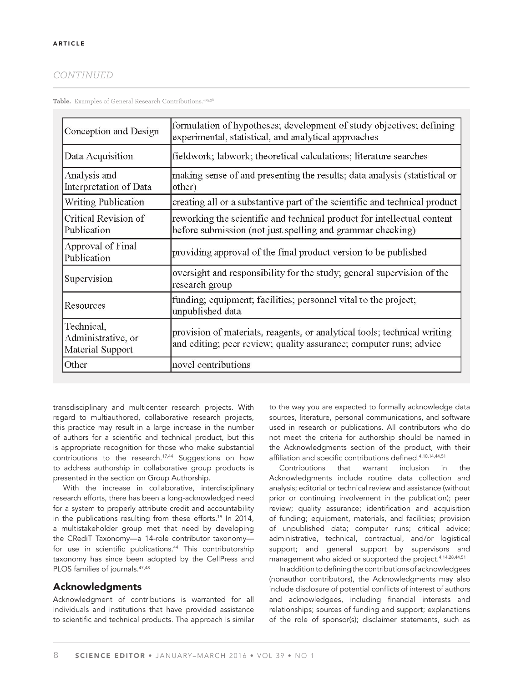Table. Examples of General Research Contributions.<sup>4,25,38</sup>

| Conception and Design                                | formulation of hypotheses; development of study objectives; defining<br>experimental, statistical, and analytical approaches                   |
|------------------------------------------------------|------------------------------------------------------------------------------------------------------------------------------------------------|
| Data Acquisition                                     | fieldwork; labwork; theoretical calculations; literature searches                                                                              |
| Analysis and<br>Interpretation of Data               | making sense of and presenting the results; data analysis (statistical or<br>other)                                                            |
| <b>Writing Publication</b>                           | creating all or a substantive part of the scientific and technical product                                                                     |
| Critical Revision of<br>Publication                  | reworking the scientific and technical product for intellectual content<br>before submission (not just spelling and grammar checking)          |
| Approval of Final<br>Publication                     | providing approval of the final product version to be published                                                                                |
| Supervision                                          | oversight and responsibility for the study; general supervision of the<br>research group                                                       |
| Resources                                            | funding; equipment; facilities; personnel vital to the project;<br>unpublished data                                                            |
| Technical,<br>Administrative, or<br>Material Support | provision of materials, reagents, or analytical tools; technical writing<br>and editing; peer review; quality assurance; computer runs; advice |
| Other                                                | novel contributions                                                                                                                            |

transdisciplinary and multicenter research projects. With regard to multiauthored, collaborative research projects, this practice may result in a large increase in the number of authors for a scientific and technical product, but this is appropriate recognition for those who make substantial contributions to the research.<sup>17,44</sup> Suggestions on how to address authorship in collaborative group products is presented in the section on Group Authorship.

With the increase in collaborative, interdisciplinary research efforts, there has been a long-acknowledged need for a system to properly attribute credit and accountability in the publications resulting from these efforts.<sup>19</sup> In 2014, a multistakeholder group met that need by developing the CRediT Taxonomy—a 14-role contributor taxonomy for use in scientific publications.<sup>44</sup> This contributorship taxonomy has since been adopted by the CellPress and PLOS families of journals.<sup>47,48</sup>

## Acknowledgments

Acknowledgment of contributions is warranted for all individuals and institutions that have provided assistance to scientific and technical products. The approach is similar

to the way you are expected to formally acknowledge data sources, literature, personal communications, and software used in research or publications. All contributors who do not meet the criteria for authorship should be named in the Acknowledgments section of the product, with their affiliation and specific contributions defined.<sup>4,10,14,44,51</sup>

Contributions that warrant inclusion in the Acknowledgments include routine data collection and analysis; editorial or technical review and assistance (without prior or continuing involvement in the publication); peer review; quality assurance; identification and acquisition of funding; equipment, materials, and facilities; provision of unpublished data; computer runs; critical advice; administrative, technical, contractual, and/or logistical support; and general support by supervisors and management who aided or supported the project.4,14,28,44,51

In addition to defining the contributions of acknowledgees (nonauthor contributors), the Acknowledgments may also include disclosure of potential conflicts of interest of authors and acknowledgees, including financial interests and relationships; sources of funding and support; explanations of the role of sponsor(s); disclaimer statements, such as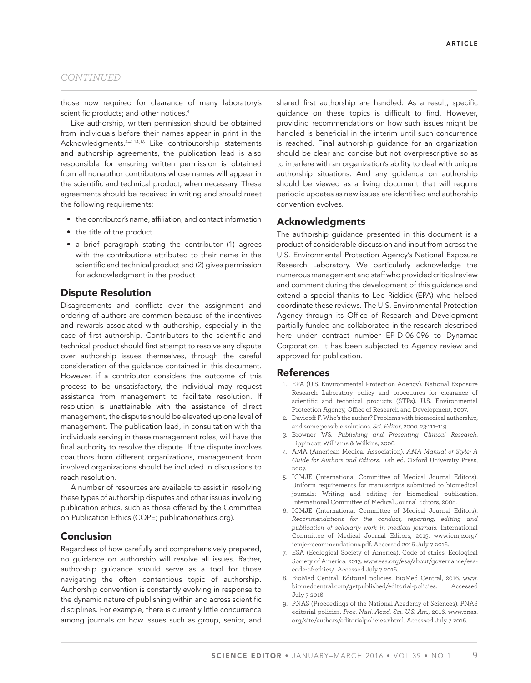those now required for clearance of many laboratory's scientific products; and other notices.<sup>4</sup>

Like authorship, written permission should be obtained from individuals before their names appear in print in the Acknowledgments.4–6,14,16 Like contributorship statements and authorship agreements, the publication lead is also responsible for ensuring written permission is obtained from all nonauthor contributors whose names will appear in the scientific and technical product, when necessary. These agreements should be received in writing and should meet the following requirements:

- the contributor's name, affiliation, and contact information
- the title of the product
- a brief paragraph stating the contributor (1) agrees with the contributions attributed to their name in the scientific and technical product and (2) gives permission for acknowledgment in the product

#### Dispute Resolution

Disagreements and conflicts over the assignment and ordering of authors are common because of the incentives and rewards associated with authorship, especially in the case of first authorship. Contributors to the scientific and technical product should first attempt to resolve any dispute over authorship issues themselves, through the careful consideration of the guidance contained in this document. However, if a contributor considers the outcome of this process to be unsatisfactory, the individual may request assistance from management to facilitate resolution. If resolution is unattainable with the assistance of direct management, the dispute should be elevated up one level of management. The publication lead, in consultation with the individuals serving in these management roles, will have the final authority to resolve the dispute. If the dispute involves coauthors from different organizations, management from involved organizations should be included in discussions to reach resolution.

A number of resources are available to assist in resolving these types of authorship disputes and other issues involving publication ethics, such as those offered by the Committee on Publication Ethics (COPE; publicationethics.org).

### Conclusion

Regardless of how carefully and comprehensively prepared, no guidance on authorship will resolve all issues. Rather, authorship guidance should serve as a tool for those navigating the often contentious topic of authorship. Authorship convention is constantly evolving in response to the dynamic nature of publishing within and across scientific disciplines. For example, there is currently little concurrence among journals on how issues such as group, senior, and shared first authorship are handled. As a result, specific guidance on these topics is difficult to find. However, providing recommendations on how such issues might be handled is beneficial in the interim until such concurrence is reached. Final authorship guidance for an organization should be clear and concise but not overprescriptive so as to interfere with an organization's ability to deal with unique authorship situations. And any guidance on authorship should be viewed as a living document that will require periodic updates as new issues are identified and authorship convention evolves.

## Acknowledgments

The authorship guidance presented in this document is a product of considerable discussion and input from across the U.S. Environmental Protection Agency's National Exposure Research Laboratory. We particularly acknowledge the numerous management and staff who provided critical review and comment during the development of this guidance and extend a special thanks to Lee Riddick (EPA) who helped coordinate these reviews. The U.S. Environmental Protection Agency through its Office of Research and Development partially funded and collaborated in the research described here under contract number EP-D-06-096 to Dynamac Corporation. It has been subjected to Agency review and approved for publication.

#### References

- 1. EPA (U.S. Environmental Protection Agency). National Exposure Research Laboratory policy and procedures for clearance of scientific and technical products (STPs). U.S. Environmental Protection Agency, Office of Research and Development, 2007.
- 2. Davidoff F. Who's the author? Problems with biomedical authorship, and some possible solutions. *Sci. Editor*, 2000, 23:111–119.
- 3. Browner WS. *Publishing and Presenting Clinical Research*. Lippincott Williams & Wilkins, 2006.
- 4. AMA (American Medical Association). *AMA Manual of Style: A Guide for Authors and Editors*. 10th ed. Oxford University Press, 2007.
- 5. ICMJE (International Committee of Medical Journal Editors). Uniform requirements for manuscripts submitted to biomedical journals: Writing and editing for biomedical publication. International Committee of Medical Journal Editors, 2008.
- 6. ICMJE (International Committee of Medical Journal Editors). *Recommendations for the conduct, reporting, editing and publication of scholarly work in medical journals*. International Committee of Medical Journal Editors, 2015. www.icmje.org/ icmje-recommendations.pdf. Accessed 2016 July 7 2016.
- 7. ESA (Ecological Society of America). Code of ethics. Ecological Society of America, 2013. www.esa.org/esa/about/governance/esacode-of-ethics/. Accessed July 7 2016.
- 8. BioMed Central. Editorial policies. BioMed Central, 2016. www. biomedcentral.com/getpublished/editorial-policies. Accessed July 7 2016.
- 9. PNAS (Proceedings of the National Academy of Sciences). PNAS editorial policies. *Proc. Natl. Acad. Sci. U.S. Am.*, 2016. www.pnas. org/site/authors/editorialpolicies.xhtml. Accessed July 7 2016.